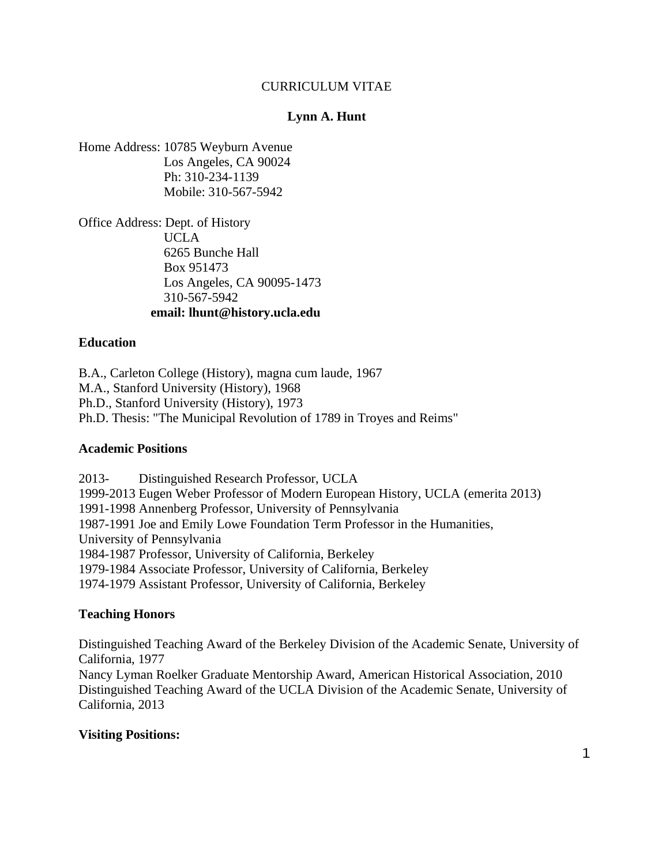# CURRICULUM VITAE

# **Lynn A. Hunt**

Home Address: 10785 Weyburn Avenue Los Angeles, CA 90024 Ph: 310-234-1139 Mobile: 310-567-5942

Office Address: Dept. of History UCLA 6265 Bunche Hall Box 951473 Los Angeles, CA 90095-1473 310-567-5942 **email: lhunt@history.ucla.edu** 

### **Education**

B.A., Carleton College (History), magna cum laude, 1967 M.A., Stanford University (History), 1968 Ph.D., Stanford University (History), 1973 Ph.D. Thesis: "The Municipal Revolution of 1789 in Troyes and Reims"

### **Academic Positions**

2013- Distinguished Research Professor, UCLA 1999-2013 Eugen Weber Professor of Modern European History, UCLA (emerita 2013) 1991-1998 Annenberg Professor, University of Pennsylvania 1987-1991 Joe and Emily Lowe Foundation Term Professor in the Humanities, University of Pennsylvania 1984-1987 Professor, University of California, Berkeley 1979-1984 Associate Professor, University of California, Berkeley 1974-1979 Assistant Professor, University of California, Berkeley

### **Teaching Honors**

Distinguished Teaching Award of the Berkeley Division of the Academic Senate, University of California, 1977 Nancy Lyman Roelker Graduate Mentorship Award, American Historical Association, 2010 Distinguished Teaching Award of the UCLA Division of the Academic Senate, University of California, 2013

### **Visiting Positions:**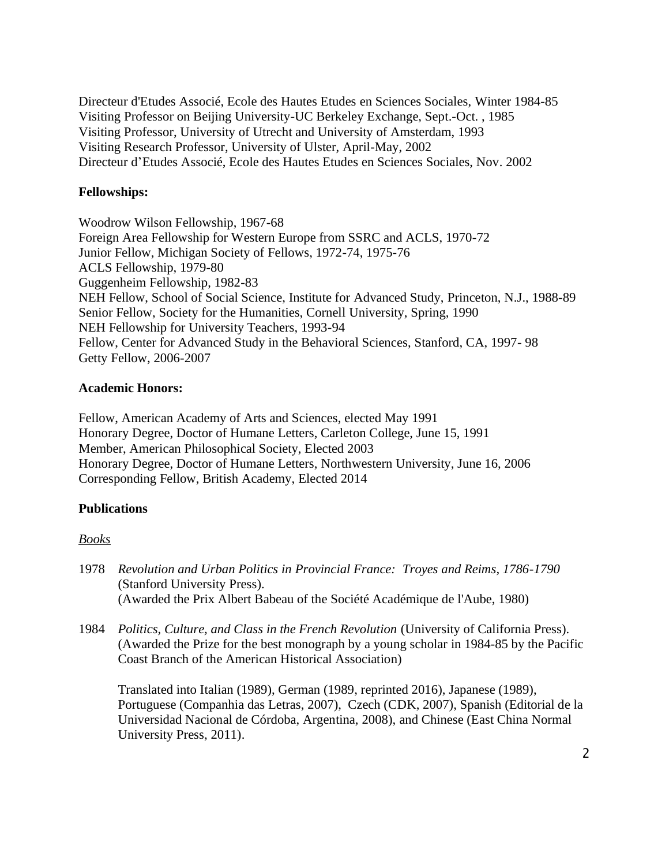Directeur d'Etudes Associé, Ecole des Hautes Etudes en Sciences Sociales, Winter 1984-85 Visiting Professor on Beijing University-UC Berkeley Exchange, Sept.-Oct. , 1985 Visiting Professor, University of Utrecht and University of Amsterdam, 1993 Visiting Research Professor, University of Ulster, April-May, 2002 Directeur d'Etudes Associé, Ecole des Hautes Etudes en Sciences Sociales, Nov. 2002

# **Fellowships:**

Woodrow Wilson Fellowship, 1967-68 Foreign Area Fellowship for Western Europe from SSRC and ACLS, 1970-72 Junior Fellow, Michigan Society of Fellows, 1972-74, 1975-76 ACLS Fellowship, 1979-80 Guggenheim Fellowship, 1982-83 NEH Fellow, School of Social Science, Institute for Advanced Study, Princeton, N.J., 1988-89 Senior Fellow, Society for the Humanities, Cornell University, Spring, 1990 NEH Fellowship for University Teachers, 1993-94 Fellow, Center for Advanced Study in the Behavioral Sciences, Stanford, CA, 1997- 98 Getty Fellow, 2006-2007

### **Academic Honors:**

Fellow, American Academy of Arts and Sciences, elected May 1991 Honorary Degree, Doctor of Humane Letters, Carleton College, June 15, 1991 Member, American Philosophical Society, Elected 2003 Honorary Degree, Doctor of Humane Letters, Northwestern University, June 16, 2006 Corresponding Fellow, British Academy, Elected 2014

### **Publications**

### *Books*

- 1978 *Revolution and Urban Politics in Provincial France: Troyes and Reims, 1786-1790* (Stanford University Press). (Awarded the Prix Albert Babeau of the Société Académique de l'Aube, 1980)
- 1984 *Politics, Culture, and Class in the French Revolution* (University of California Press). (Awarded the Prize for the best monograph by a young scholar in 1984-85 by the Pacific Coast Branch of the American Historical Association)

Translated into Italian (1989), German (1989, reprinted 2016), Japanese (1989), Portuguese (Companhia das Letras, 2007), Czech (CDK, 2007), Spanish (Editorial de la Universidad Nacional de Córdoba, Argentina, 2008), and Chinese (East China Normal University Press, 2011).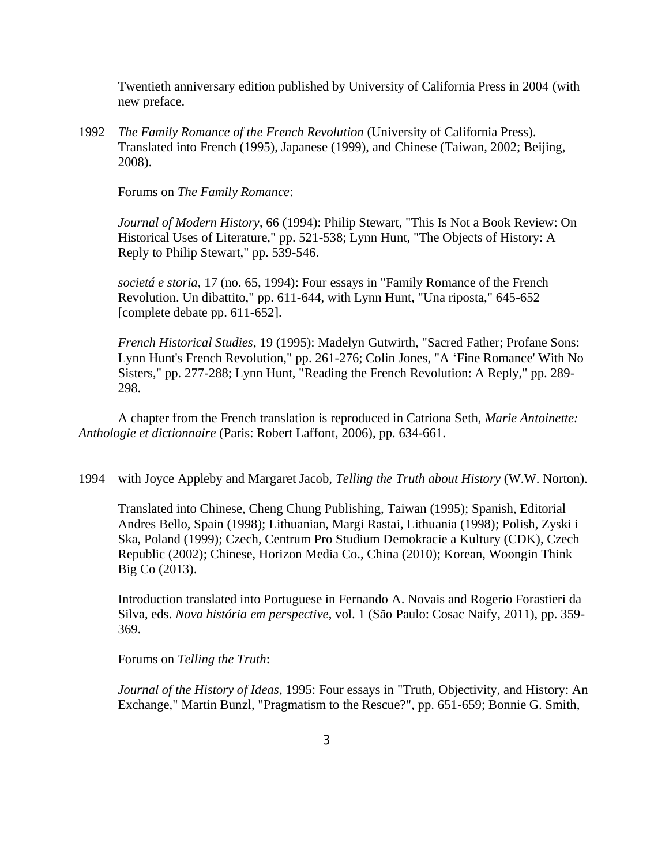Twentieth anniversary edition published by University of California Press in 2004 (with new preface.

1992 *The Family Romance of the French Revolution* (University of California Press). Translated into French (1995), Japanese (1999), and Chinese (Taiwan, 2002; Beijing, 2008).

Forums on *The Family Romance*:

*Journal of Modern History*, 66 (1994): Philip Stewart, "This Is Not a Book Review: On Historical Uses of Literature," pp. 521-538; Lynn Hunt, "The Objects of History: A Reply to Philip Stewart," pp. 539-546.

*societá e storia*, 17 (no. 65, 1994): Four essays in "Family Romance of the French Revolution. Un dibattito," pp. 611-644, with Lynn Hunt, "Una riposta," 645-652 [complete debate pp. 611-652].

*French Historical Studies*, 19 (1995): Madelyn Gutwirth, "Sacred Father; Profane Sons: Lynn Hunt's French Revolution," pp. 261-276; Colin Jones, "A 'Fine Romance' With No Sisters," pp. 277-288; Lynn Hunt, "Reading the French Revolution: A Reply," pp. 289- 298.

A chapter from the French translation is reproduced in Catriona Seth, *Marie Antoinette: Anthologie et dictionnaire* (Paris: Robert Laffont, 2006), pp. 634-661.

1994 with Joyce Appleby and Margaret Jacob, *Telling the Truth about History* (W.W. Norton).

Translated into Chinese, Cheng Chung Publishing, Taiwan (1995); Spanish, Editorial Andres Bello, Spain (1998); Lithuanian, Margi Rastai, Lithuania (1998); Polish, Zyski i Ska, Poland (1999); Czech, Centrum Pro Studium Demokracie a Kultury (CDK), Czech Republic (2002); Chinese, Horizon Media Co., China (2010); Korean, Woongin Think Big Co (2013).

Introduction translated into Portuguese in Fernando A. Novais and Rogerio Forastieri da Silva, eds. *Nova história em perspective*, vol. 1 (São Paulo: Cosac Naify, 2011), pp. 359- 369.

Forums on *Telling the Truth*:

*Journal of the History of Ideas*, 1995: Four essays in "Truth, Objectivity, and History: An Exchange," Martin Bunzl, "Pragmatism to the Rescue?", pp. 651-659; Bonnie G. Smith,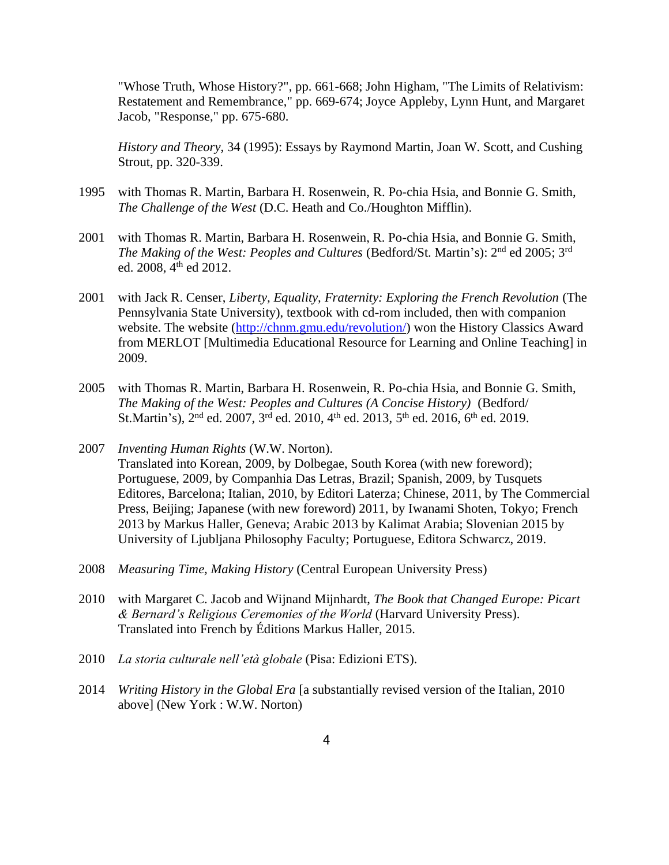"Whose Truth, Whose History?", pp. 661-668; John Higham, "The Limits of Relativism: Restatement and Remembrance," pp. 669-674; Joyce Appleby, Lynn Hunt, and Margaret Jacob, "Response," pp. 675-680.

*History and Theory*, 34 (1995): Essays by Raymond Martin, Joan W. Scott, and Cushing Strout, pp. 320-339.

- 1995 with Thomas R. Martin, Barbara H. Rosenwein, R. Po-chia Hsia, and Bonnie G. Smith, *The Challenge of the West* (D.C. Heath and Co./Houghton Mifflin).
- 2001 with Thomas R. Martin, Barbara H. Rosenwein, R. Po-chia Hsia, and Bonnie G. Smith, The Making of the West: Peoples and Cultures (Bedford/St. Martin's): 2<sup>nd</sup> ed 2005; 3<sup>rd</sup> ed. 2008, 4<sup>th</sup> ed 2012.
- 2001 with Jack R. Censer, *Liberty, Equality, Fraternity: Exploring the French Revolution* (The Pennsylvania State University), textbook with cd-rom included, then with companion website. The website [\(http://chnm.gmu.edu/revolution/\)](http://chnm.gmu.edu/revolution/) won the History Classics Award from MERLOT [Multimedia Educational Resource for Learning and Online Teaching] in 2009.
- 2005 with Thomas R. Martin, Barbara H. Rosenwein, R. Po-chia Hsia, and Bonnie G. Smith, *The Making of the West: Peoples and Cultures (A Concise History)* (Bedford/ St.Martin's),  $2<sup>nd</sup>$  ed. 2007,  $3<sup>rd</sup>$  ed. 2010,  $4<sup>th</sup>$  ed. 2013,  $5<sup>th</sup>$  ed. 2016,  $6<sup>th</sup>$  ed. 2019.
- 2007 *Inventing Human Rights* (W.W. Norton). Translated into Korean, 2009, by Dolbegae, South Korea (with new foreword); Portuguese, 2009, by Companhia Das Letras, Brazil; Spanish, 2009, by Tusquets Editores, Barcelona; Italian, 2010, by Editori Laterza; Chinese, 2011, by The Commercial Press, Beijing; Japanese (with new foreword) 2011, by Iwanami Shoten, Tokyo; French 2013 by Markus Haller, Geneva; Arabic 2013 by Kalimat Arabia; Slovenian 2015 by University of Ljubljana Philosophy Faculty; Portuguese, Editora Schwarcz, 2019.
- 2008 *Measuring Time, Making History* (Central European University Press)
- 2010 with Margaret C. Jacob and Wijnand Mijnhardt, *The Book that Changed Europe: Picart & Bernard's Religious Ceremonies of the World* (Harvard University Press). Translated into French by Éditions Markus Haller, 2015.
- 2010 *La storia culturale nell'età globale* (Pisa: Edizioni ETS).
- 2014 *Writing History in the Global Era* [a substantially revised version of the Italian, 2010 above] (New York : W.W. Norton)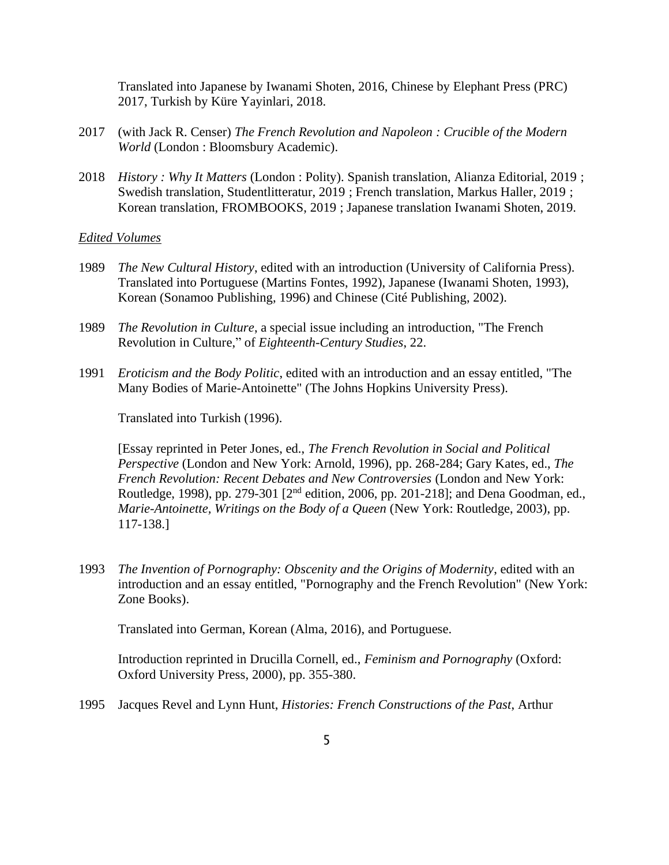Translated into Japanese by Iwanami Shoten, 2016, Chinese by Elephant Press (PRC) 2017, Turkish by Küre Yayinlari, 2018.

- 2017 (with Jack R. Censer) *The French Revolution and Napoleon : Crucible of the Modern World* (London : Bloomsbury Academic).
- 2018 *History : Why It Matters* (London : Polity). Spanish translation, Alianza Editorial, 2019 ; Swedish translation, Studentlitteratur, 2019 ; French translation, Markus Haller, 2019 ; Korean translation, FROMBOOKS, 2019 ; Japanese translation Iwanami Shoten, 2019.

#### *Edited Volumes*

- 1989 *The New Cultural History*, edited with an introduction (University of California Press). Translated into Portuguese (Martins Fontes, 1992), Japanese (Iwanami Shoten, 1993), Korean (Sonamoo Publishing, 1996) and Chinese (Cité Publishing, 2002).
- 1989 *The Revolution in Culture*, a special issue including an introduction, "The French Revolution in Culture," of *Eighteenth-Century Studies*, 22.
- 1991 *Eroticism and the Body Politic*, edited with an introduction and an essay entitled, "The Many Bodies of Marie-Antoinette" (The Johns Hopkins University Press).

Translated into Turkish (1996).

[Essay reprinted in Peter Jones, ed., *The French Revolution in Social and Political Perspective* (London and New York: Arnold, 1996), pp. 268-284; Gary Kates, ed., *The French Revolution: Recent Debates and New Controversies* (London and New York: Routledge, 1998), pp. 279-301 [2<sup>nd</sup> edition, 2006, pp. 201-218]; and Dena Goodman, ed., *Marie-Antoinette, Writings on the Body of a Queen* (New York: Routledge, 2003), pp. 117-138.]

1993 *The Invention of Pornography: Obscenity and the Origins of Modernity*, edited with an introduction and an essay entitled, "Pornography and the French Revolution" (New York: Zone Books).

Translated into German, Korean (Alma, 2016), and Portuguese.

Introduction reprinted in Drucilla Cornell, ed., *Feminism and Pornography* (Oxford: Oxford University Press, 2000), pp. 355-380.

1995 Jacques Revel and Lynn Hunt, *Histories: French Constructions of the Past*, Arthur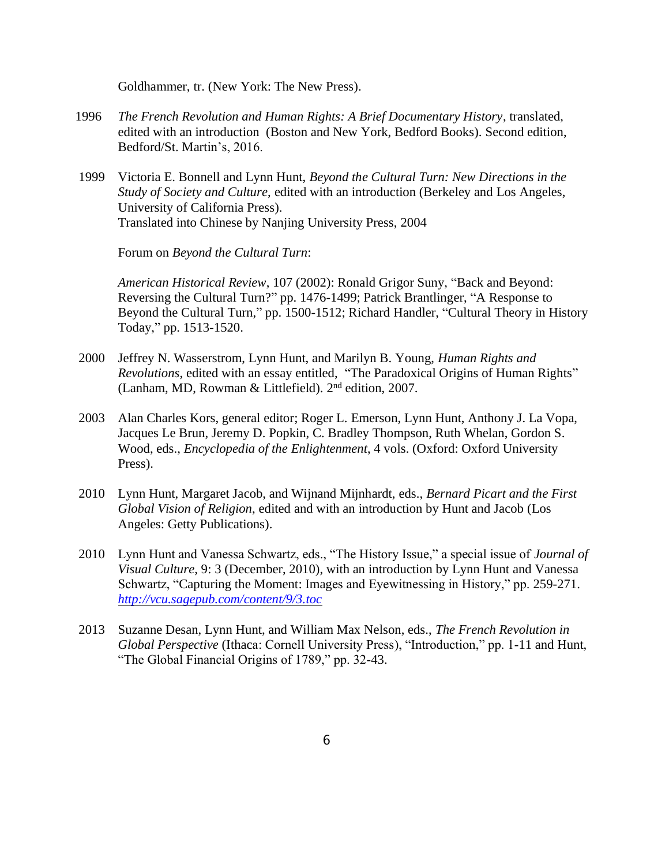Goldhammer, tr. (New York: The New Press).

- 1996 *The French Revolution and Human Rights: A Brief Documentary History*, translated, edited with an introduction (Boston and New York, Bedford Books). Second edition, Bedford/St. Martin's, 2016.
- 1999 Victoria E. Bonnell and Lynn Hunt, *Beyond the Cultural Turn: New Directions in the Study of Society and Culture*, edited with an introduction (Berkeley and Los Angeles, University of California Press). Translated into Chinese by Nanjing University Press, 2004

Forum on *Beyond the Cultural Turn*:

*American Historical Review*, 107 (2002): Ronald Grigor Suny, "Back and Beyond: Reversing the Cultural Turn?" pp. 1476-1499; Patrick Brantlinger, "A Response to Beyond the Cultural Turn," pp. 1500-1512; Richard Handler, "Cultural Theory in History Today," pp. 1513-1520.

- 2000 Jeffrey N. Wasserstrom, Lynn Hunt, and Marilyn B. Young, *Human Rights and Revolutions*, edited with an essay entitled, "The Paradoxical Origins of Human Rights" (Lanham, MD, Rowman & Littlefield). 2<sup>nd</sup> edition, 2007.
- 2003 Alan Charles Kors, general editor; Roger L. Emerson, Lynn Hunt, Anthony J. La Vopa, Jacques Le Brun, Jeremy D. Popkin, C. Bradley Thompson, Ruth Whelan, Gordon S. Wood, eds., *Encyclopedia of the Enlightenment*, 4 vols. (Oxford: Oxford University Press).
- 2010 Lynn Hunt, Margaret Jacob, and Wijnand Mijnhardt, eds., *Bernard Picart and the First Global Vision of Religion*, edited and with an introduction by Hunt and Jacob (Los Angeles: Getty Publications).
- 2010 Lynn Hunt and Vanessa Schwartz, eds., "The History Issue," a special issue of *Journal of Visual Culture*, 9: 3 (December, 2010), with an introduction by Lynn Hunt and Vanessa Schwartz, "Capturing the Moment: Images and Eyewitnessing in History," pp. 259-271. *<http://vcu.sagepub.com/content/9/3.toc>*
- 2013 Suzanne Desan, Lynn Hunt, and William Max Nelson, eds., *The French Revolution in Global Perspective* (Ithaca: Cornell University Press), "Introduction," pp. 1-11 and Hunt, "The Global Financial Origins of 1789," pp. 32-43.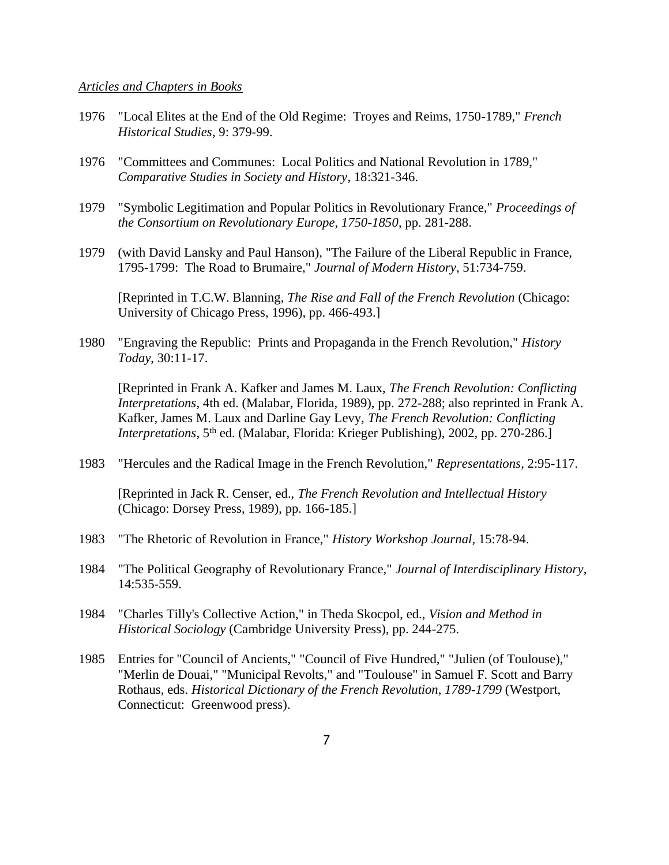#### *Articles and Chapters in Books*

- 1976 "Local Elites at the End of the Old Regime: Troyes and Reims, 1750-1789," *French Historical Studies*, 9: 379-99.
- 1976 "Committees and Communes: Local Politics and National Revolution in 1789," *Comparative Studies in Society and History*, 18:321-346.
- 1979 "Symbolic Legitimation and Popular Politics in Revolutionary France," *Proceedings of the Consortium on Revolutionary Europe, 1750-1850*, pp. 281-288.
- 1979 (with David Lansky and Paul Hanson), "The Failure of the Liberal Republic in France, 1795-1799: The Road to Brumaire," *Journal of Modern History*, 51:734-759.

[Reprinted in T.C.W. Blanning, *The Rise and Fall of the French Revolution* (Chicago: University of Chicago Press, 1996), pp. 466-493.]

1980 "Engraving the Republic: Prints and Propaganda in the French Revolution," *History Today*, 30:11-17.

[Reprinted in Frank A. Kafker and James M. Laux, *The French Revolution: Conflicting Interpretations*, 4th ed. (Malabar, Florida, 1989), pp. 272-288; also reprinted in Frank A. Kafker, James M. Laux and Darline Gay Levy, *The French Revolution: Conflicting Interpretations*, 5<sup>th</sup> ed. (Malabar, Florida: Krieger Publishing), 2002, pp. 270-286.]

1983 "Hercules and the Radical Image in the French Revolution," *Representations*, 2:95-117.

[Reprinted in Jack R. Censer, ed., *The French Revolution and Intellectual History* (Chicago: Dorsey Press, 1989), pp. 166-185.]

- 1983 "The Rhetoric of Revolution in France," *History Workshop Journal*, 15:78-94.
- 1984 "The Political Geography of Revolutionary France," *Journal of Interdisciplinary History*, 14:535-559.
- 1984 "Charles Tilly's Collective Action," in Theda Skocpol, ed., *Vision and Method in Historical Sociology* (Cambridge University Press), pp. 244-275.
- 1985 Entries for "Council of Ancients," "Council of Five Hundred," "Julien (of Toulouse)," "Merlin de Douai," "Municipal Revolts," and "Toulouse" in Samuel F. Scott and Barry Rothaus, eds. *Historical Dictionary of the French Revolution, 1789-1799* (Westport, Connecticut: Greenwood press).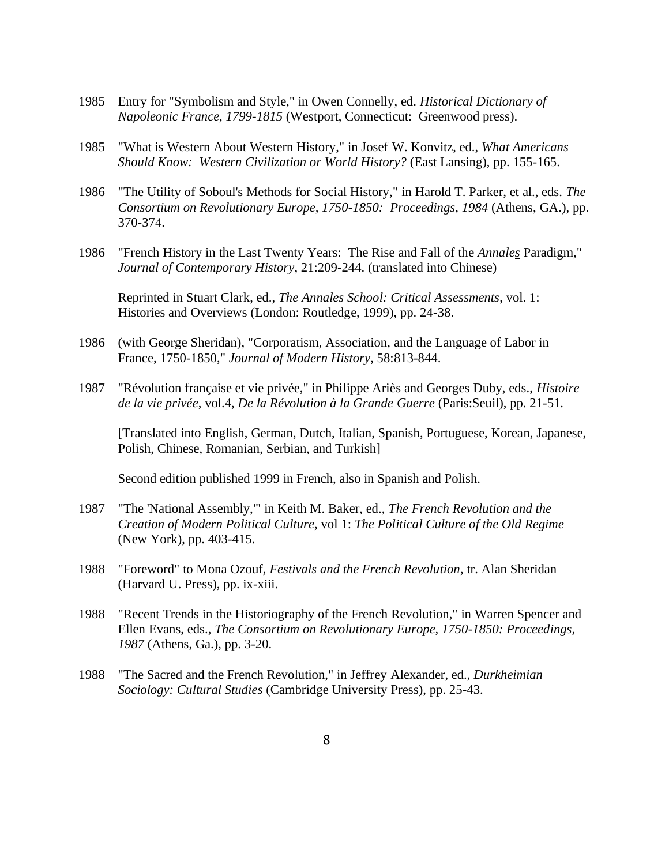- 1985 Entry for "Symbolism and Style," in Owen Connelly, ed. *Historical Dictionary of Napoleonic France, 1799-1815* (Westport, Connecticut: Greenwood press).
- 1985 "What is Western About Western History," in Josef W. Konvitz, ed., *What Americans Should Know: Western Civilization or World History?* (East Lansing), pp. 155-165.
- 1986 "The Utility of Soboul's Methods for Social History," in Harold T. Parker, et al., eds. *The Consortium on Revolutionary Europe, 1750-1850: Proceedings, 1984* (Athens, GA.), pp. 370-374.
- 1986 "French History in the Last Twenty Years: The Rise and Fall of the *Annales* Paradigm," *Journal of Contemporary History*, 21:209-244. (translated into Chinese)

Reprinted in Stuart Clark, ed., *The Annales School: Critical Assessments*, vol. 1: Histories and Overviews (London: Routledge, 1999), pp. 24-38.

- 1986 (with George Sheridan), "Corporatism, Association, and the Language of Labor in France, 1750-1850," *Journal of Modern History*, 58:813-844.
- 1987 "Révolution française et vie privée," in Philippe Ariès and Georges Duby, eds., *Histoire de la vie privée*, vol.4, *De la Révolution à la Grande Guerre* (Paris:Seuil), pp. 21-51.

[Translated into English, German, Dutch, Italian, Spanish, Portuguese, Korean, Japanese, Polish, Chinese, Romanian, Serbian, and Turkish]

Second edition published 1999 in French, also in Spanish and Polish.

- 1987 "The 'National Assembly,'" in Keith M. Baker, ed., *The French Revolution and the Creation of Modern Political Culture*, vol 1: *The Political Culture of the Old Regime* (New York), pp. 403-415.
- 1988 "Foreword" to Mona Ozouf, *Festivals and the French Revolution*, tr. Alan Sheridan (Harvard U. Press), pp. ix-xiii.
- 1988 "Recent Trends in the Historiography of the French Revolution," in Warren Spencer and Ellen Evans, eds., *The Consortium on Revolutionary Europe, 1750-1850: Proceedings, 1987* (Athens, Ga.), pp. 3-20.
- 1988 "The Sacred and the French Revolution," in Jeffrey Alexander, ed., *Durkheimian Sociology: Cultural Studies* (Cambridge University Press), pp. 25-43.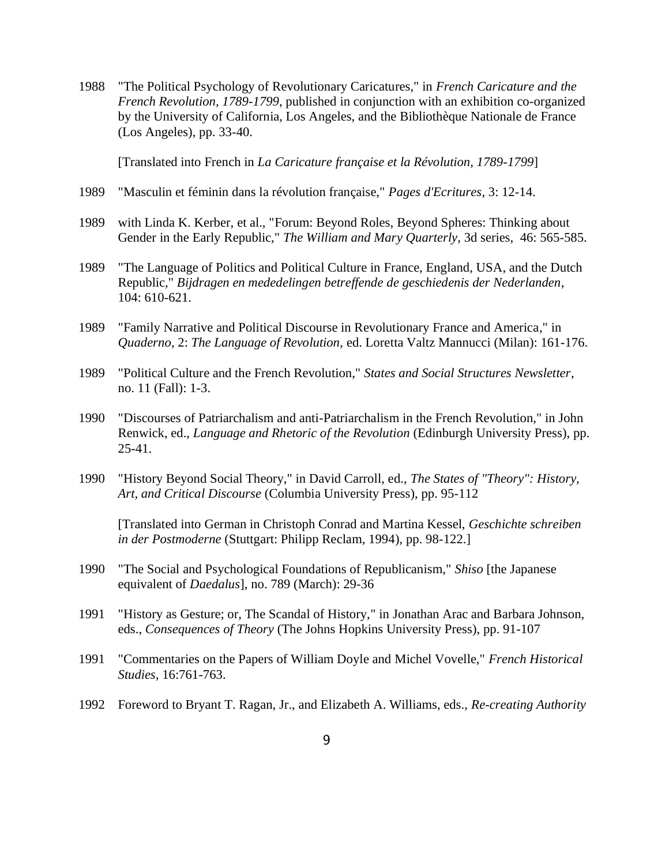1988 "The Political Psychology of Revolutionary Caricatures," in *French Caricature and the French Revolution, 1789-1799*, published in conjunction with an exhibition co-organized by the University of California, Los Angeles, and the Bibliothèque Nationale de France (Los Angeles), pp. 33-40.

[Translated into French in *La Caricature française et la Révolution, 1789-1799*]

- 1989 "Masculin et féminin dans la révolution française," *Pages d'Ecritures*, 3: 12-14.
- 1989 with Linda K. Kerber, et al., "Forum: Beyond Roles, Beyond Spheres: Thinking about Gender in the Early Republic," *The William and Mary Quarterly*, 3d series, 46: 565-585.
- 1989 "The Language of Politics and Political Culture in France, England, USA, and the Dutch Republic," *Bijdragen en mededelingen betreffende de geschiedenis der Nederlanden*, 104: 610-621.
- 1989 "Family Narrative and Political Discourse in Revolutionary France and America," in *Quaderno*, 2: *The Language of Revolution*, ed. Loretta Valtz Mannucci (Milan): 161-176.
- 1989 "Political Culture and the French Revolution," *States and Social Structures Newsletter*, no. 11 (Fall): 1-3.
- 1990 "Discourses of Patriarchalism and anti-Patriarchalism in the French Revolution," in John Renwick, ed., *Language and Rhetoric of the Revolution* (Edinburgh University Press), pp. 25-41.
- 1990 "History Beyond Social Theory," in David Carroll, ed., *The States of "Theory": History, Art, and Critical Discourse* (Columbia University Press), pp. 95-112

[Translated into German in Christoph Conrad and Martina Kessel, *Geschichte schreiben in der Postmoderne* (Stuttgart: Philipp Reclam, 1994), pp. 98-122.]

- 1990 "The Social and Psychological Foundations of Republicanism," *Shiso* [the Japanese equivalent of *Daedalus*], no. 789 (March): 29-36
- 1991 "History as Gesture; or, The Scandal of History," in Jonathan Arac and Barbara Johnson, eds., *Consequences of Theory* (The Johns Hopkins University Press), pp. 91-107
- 1991 "Commentaries on the Papers of William Doyle and Michel Vovelle," *French Historical Studies*, 16:761-763.
- 1992 Foreword to Bryant T. Ragan, Jr., and Elizabeth A. Williams, eds., *Re-creating Authority*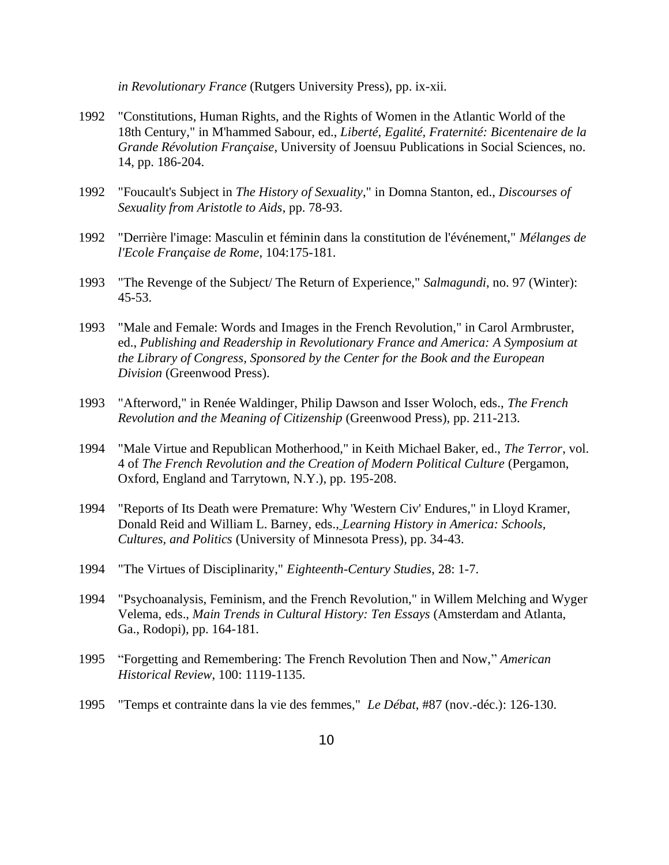*in Revolutionary France* (Rutgers University Press), pp. ix-xii.

- 1992 "Constitutions, Human Rights, and the Rights of Women in the Atlantic World of the 18th Century," in M'hammed Sabour, ed., *Liberté, Egalité, Fraternité: Bicentenaire de la Grande Révolution Française*, University of Joensuu Publications in Social Sciences, no. 14, pp. 186-204.
- 1992 "Foucault's Subject in *The History of Sexuality*," in Domna Stanton, ed., *Discourses of Sexuality from Aristotle to Aids*, pp. 78-93.
- 1992 "Derrière l'image: Masculin et féminin dans la constitution de l'événement," *Mélanges de l'Ecole Française de Rome*, 104:175-181.
- 1993 "The Revenge of the Subject/ The Return of Experience," *Salmagundi*, no. 97 (Winter): 45-53.
- 1993 "Male and Female: Words and Images in the French Revolution," in Carol Armbruster, ed., *Publishing and Readership in Revolutionary France and America: A Symposium at the Library of Congress, Sponsored by the Center for the Book and the European Division* (Greenwood Press).
- 1993 "Afterword," in Renée Waldinger, Philip Dawson and Isser Woloch, eds., *The French Revolution and the Meaning of Citizenship* (Greenwood Press), pp. 211-213.
- 1994 "Male Virtue and Republican Motherhood," in Keith Michael Baker, ed., *The Terror*, vol. 4 of *The French Revolution and the Creation of Modern Political Culture* (Pergamon, Oxford, England and Tarrytown, N.Y.), pp. 195-208.
- 1994 "Reports of Its Death were Premature: Why 'Western Civ' Endures," in Lloyd Kramer, Donald Reid and William L. Barney, eds., *Learning History in America: Schools, Cultures, and Politics* (University of Minnesota Press), pp. 34-43.
- 1994 "The Virtues of Disciplinarity," *Eighteenth-Century Studies*, 28: 1-7.
- 1994 "Psychoanalysis, Feminism, and the French Revolution," in Willem Melching and Wyger Velema, eds., *Main Trends in Cultural History: Ten Essays* (Amsterdam and Atlanta, Ga., Rodopi), pp. 164-181.
- 1995 "Forgetting and Remembering: The French Revolution Then and Now," *American Historical Review*, 100: 1119-1135.
- 1995 "Temps et contrainte dans la vie des femmes," *Le Débat*, #87 (nov.-déc.): 126-130.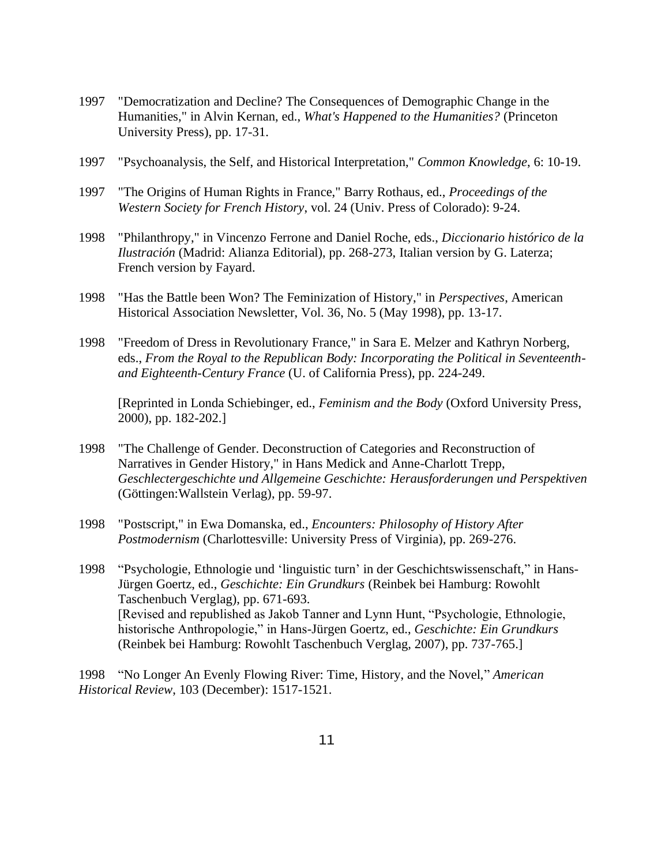- 1997 "Democratization and Decline? The Consequences of Demographic Change in the Humanities," in Alvin Kernan, ed., *What's Happened to the Humanities?* (Princeton University Press), pp. 17-31.
- 1997 "Psychoanalysis, the Self, and Historical Interpretation," *Common Knowledge*, 6: 10-19.
- 1997 "The Origins of Human Rights in France," Barry Rothaus, ed., *Proceedings of the Western Society for French History*, vol. 24 (Univ. Press of Colorado): 9-24.
- 1998 "Philanthropy," in Vincenzo Ferrone and Daniel Roche, eds., *Diccionario histórico de la Ilustración* (Madrid: Alianza Editorial), pp. 268-273, Italian version by G. Laterza; French version by Fayard.
- 1998 "Has the Battle been Won? The Feminization of History," in *Perspectives*, American Historical Association Newsletter, Vol. 36, No. 5 (May 1998), pp. 13-17.
- 1998 "Freedom of Dress in Revolutionary France," in Sara E. Melzer and Kathryn Norberg, eds., *From the Royal to the Republican Body: Incorporating the Political in Seventeenthand Eighteenth-Century France* (U. of California Press), pp. 224-249.

[Reprinted in Londa Schiebinger, ed., *Feminism and the Body* (Oxford University Press, 2000), pp. 182-202.]

- 1998 "The Challenge of Gender. Deconstruction of Categories and Reconstruction of Narratives in Gender History," in Hans Medick and Anne-Charlott Trepp, *Geschlectergeschichte und Allgemeine Geschichte: Herausforderungen und Perspektiven* (Göttingen:Wallstein Verlag), pp. 59-97.
- 1998 "Postscript," in Ewa Domanska, ed., *Encounters: Philosophy of History After Postmodernism* (Charlottesville: University Press of Virginia), pp. 269-276.
- 1998 "Psychologie, Ethnologie und 'linguistic turn' in der Geschichtswissenschaft," in Hans-Jürgen Goertz, ed., *Geschichte: Ein Grundkurs* (Reinbek bei Hamburg: Rowohlt Taschenbuch Verglag), pp. 671-693. [Revised and republished as Jakob Tanner and Lynn Hunt, "Psychologie, Ethnologie, historische Anthropologie," in Hans-Jürgen Goertz, ed., *Geschichte: Ein Grundkurs* (Reinbek bei Hamburg: Rowohlt Taschenbuch Verglag, 2007), pp. 737-765.]

1998 "No Longer An Evenly Flowing River: Time, History, and the Novel," *American Historical Review*, 103 (December): 1517-1521.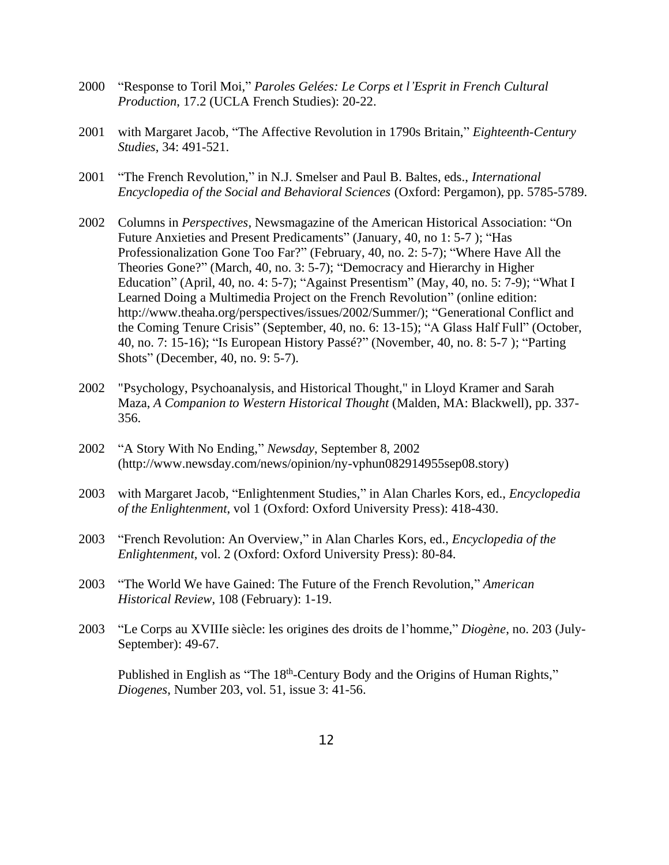- 2000 "Response to Toril Moi," *Paroles Gelées: Le Corps et l'Esprit in French Cultural Production*, 17.2 (UCLA French Studies): 20-22.
- 2001 with Margaret Jacob, "The Affective Revolution in 1790s Britain," *Eighteenth-Century Studies*, 34: 491-521.
- 2001 "The French Revolution," in N.J. Smelser and Paul B. Baltes, eds., *International Encyclopedia of the Social and Behavioral Sciences* (Oxford: Pergamon), pp. 5785-5789.
- 2002 Columns in *Perspectives*, Newsmagazine of the American Historical Association: "On Future Anxieties and Present Predicaments" (January, 40, no 1: 5-7 ); "Has Professionalization Gone Too Far?" (February, 40, no. 2: 5-7); "Where Have All the Theories Gone?" (March, 40, no. 3: 5-7); "Democracy and Hierarchy in Higher Education" (April, 40, no. 4: 5-7); "Against Presentism" (May, 40, no. 5: 7-9); "What I Learned Doing a Multimedia Project on the French Revolution" (online edition: http://www.theaha.org/perspectives/issues/2002/Summer/); "Generational Conflict and the Coming Tenure Crisis" (September, 40, no. 6: 13-15); "A Glass Half Full" (October, 40, no. 7: 15-16); "Is European History Passé?" (November, 40, no. 8: 5-7 ); "Parting Shots" (December, 40, no. 9: 5-7).
- 2002 "Psychology, Psychoanalysis, and Historical Thought," in Lloyd Kramer and Sarah Maza, *A Companion to Western Historical Thought* (Malden, MA: Blackwell), pp. 337- 356.
- 2002 "A Story With No Ending," *Newsday*, September 8, 2002 (http://www.newsday.com/news/opinion/ny-vphun082914955sep08.story)
- 2003 with Margaret Jacob, "Enlightenment Studies," in Alan Charles Kors, ed., *Encyclopedia of the Enlightenment*, vol 1 (Oxford: Oxford University Press): 418-430.
- 2003 "French Revolution: An Overview," in Alan Charles Kors, ed., *Encyclopedia of the Enlightenment*, vol. 2 (Oxford: Oxford University Press): 80-84.
- 2003 "The World We have Gained: The Future of the French Revolution," *American Historical Review*, 108 (February): 1-19.
- 2003 "Le Corps au XVIIIe siècle: les origines des droits de l'homme," *Diogène*, no. 203 (July-September): 49-67.

Published in English as "The 18<sup>th</sup>-Century Body and the Origins of Human Rights," *Diogenes*, Number 203, vol. 51, issue 3: 41-56.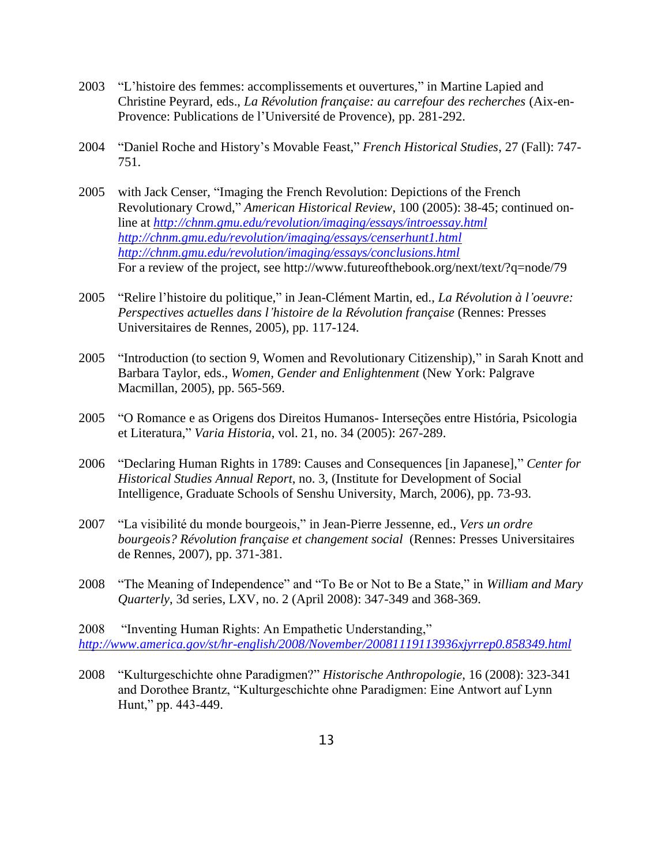- 2003 "L'histoire des femmes: accomplissements et ouvertures," in Martine Lapied and Christine Peyrard, eds., *La Révolution française: au carrefour des recherches* (Aix-en-Provence: Publications de l'Université de Provence), pp. 281-292.
- 2004 "Daniel Roche and History's Movable Feast," *French Historical Studies*, 27 (Fall): 747- 751.
- 2005 with Jack Censer, "Imaging the French Revolution: Depictions of the French Revolutionary Crowd," *American Historical Review*, 100 (2005): 38-45; continued online at *http://chnm.gmu.edu/revolution/imaging/essays/introessay.html http://chnm.gmu.edu/revolution/imaging/essays/censerhunt1.html http://chnm.gmu.edu/revolution/imaging/essays/conclusions.html* For a review of the project, see http://www.futureofthebook.org/next/text/?q=node/79
- 2005 "Relire l'histoire du politique," in Jean-Clément Martin, ed., *La Révolution à l'oeuvre: Perspectives actuelles dans l'histoire de la Révolution française* (Rennes: Presses Universitaires de Rennes, 2005), pp. 117-124.
- 2005 "Introduction (to section 9, Women and Revolutionary Citizenship)," in Sarah Knott and Barbara Taylor, eds., *Women, Gender and Enlightenment* (New York: Palgrave Macmillan, 2005), pp. 565-569.
- 2005 "O Romance e as Origens dos Direitos Humanos- Interseções entre História, Psicologia et Literatura," *Varia Historia*, vol. 21, no. 34 (2005): 267-289.
- 2006 "Declaring Human Rights in 1789: Causes and Consequences [in Japanese]," *Center for Historical Studies Annual Report*, no. 3, (Institute for Development of Social Intelligence, Graduate Schools of Senshu University, March, 2006), pp. 73-93.
- 2007 "La visibilité du monde bourgeois," in Jean-Pierre Jessenne, ed., *Vers un ordre bourgeois? Révolution française et changement social* (Rennes: Presses Universitaires de Rennes, 2007), pp. 371-381.
- 2008 "The Meaning of Independence" and "To Be or Not to Be a State," in *William and Mary Quarterly*, 3d series, LXV, no. 2 (April 2008): 347-349 and 368-369.

2008 "Inventing Human Rights: An Empathetic Understanding," *<http://www.america.gov/st/hr-english/2008/November/20081119113936xjyrrep0.858349.html>*

2008 "Kulturgeschichte ohne Paradigmen?" *Historische Anthropologie*, 16 (2008): 323-341 and Dorothee Brantz, "Kulturgeschichte ohne Paradigmen: Eine Antwort auf Lynn Hunt," pp. 443-449.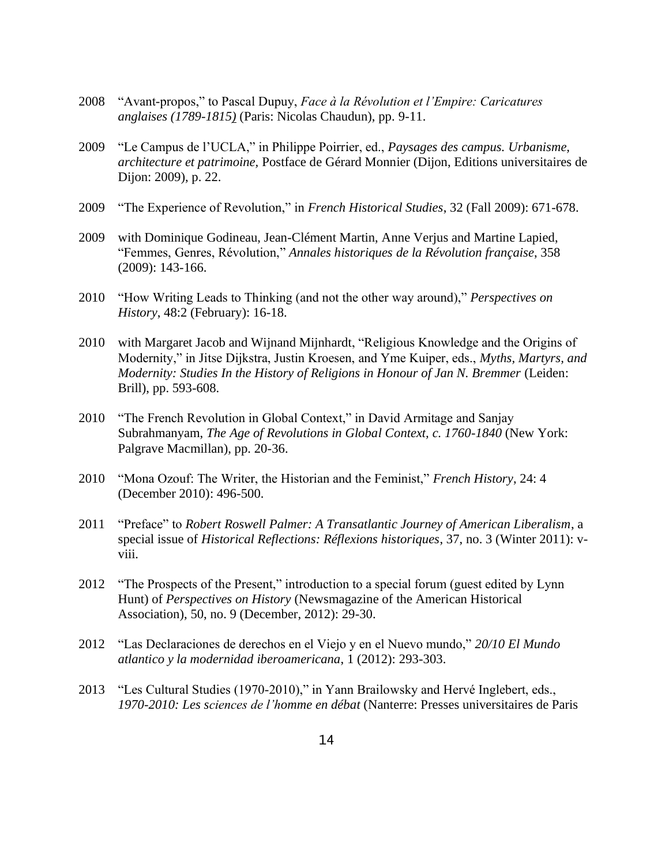- 2008 "Avant-propos," to Pascal Dupuy, *Face à la Révolution et l'Empire: Caricatures anglaises (1789-1815)* (Paris: Nicolas Chaudun), pp. 9-11.
- 2009 "Le Campus de l'UCLA," in Philippe Poirrier, ed., *Paysages des campus. Urbanisme, architecture et patrimoine,* Postface de Gérard Monnier (Dijon, Editions universitaires de Dijon: 2009), p. 22.
- 2009 "The Experience of Revolution," in *French Historical Studies*, 32 (Fall 2009): 671-678.
- 2009 with Dominique Godineau, Jean-Clément Martin, Anne Verjus and Martine Lapied, "Femmes, Genres, Révolution," *Annales historiques de la Révolution française*, 358 (2009): 143-166.
- 2010 "How Writing Leads to Thinking (and not the other way around)," *Perspectives on History*, 48:2 (February): 16-18.
- 2010 with Margaret Jacob and Wijnand Mijnhardt, "Religious Knowledge and the Origins of Modernity," in Jitse Dijkstra, Justin Kroesen, and Yme Kuiper, eds., *Myths, Martyrs, and Modernity: Studies In the History of Religions in Honour of Jan N. Bremmer* (Leiden: Brill), pp. 593-608.
- 2010 "The French Revolution in Global Context," in David Armitage and Sanjay Subrahmanyam, *The Age of Revolutions in Global Context, c. 1760-1840* (New York: Palgrave Macmillan), pp. 20-36.
- 2010 "Mona Ozouf: The Writer, the Historian and the Feminist," *French History*, 24: 4 (December 2010): 496-500.
- 2011 "Preface" to *Robert Roswell Palmer: A Transatlantic Journey of American Liberalism*, a special issue of *Historical Reflections: Réflexions historiques*, 37, no. 3 (Winter 2011): vviii.
- 2012 "The Prospects of the Present," introduction to a special forum (guest edited by Lynn Hunt) of *Perspectives on History* (Newsmagazine of the American Historical Association), 50, no. 9 (December, 2012): 29-30.
- 2012 "Las Declaraciones de derechos en el Viejo y en el Nuevo mundo," *20/10 El Mundo atlantico y la modernidad iberoamericana*, 1 (2012): 293-303.
- 2013 "Les Cultural Studies (1970-2010)," in Yann Brailowsky and Hervé Inglebert, eds., *1970-2010: Les sciences de l'homme en débat* (Nanterre: Presses universitaires de Paris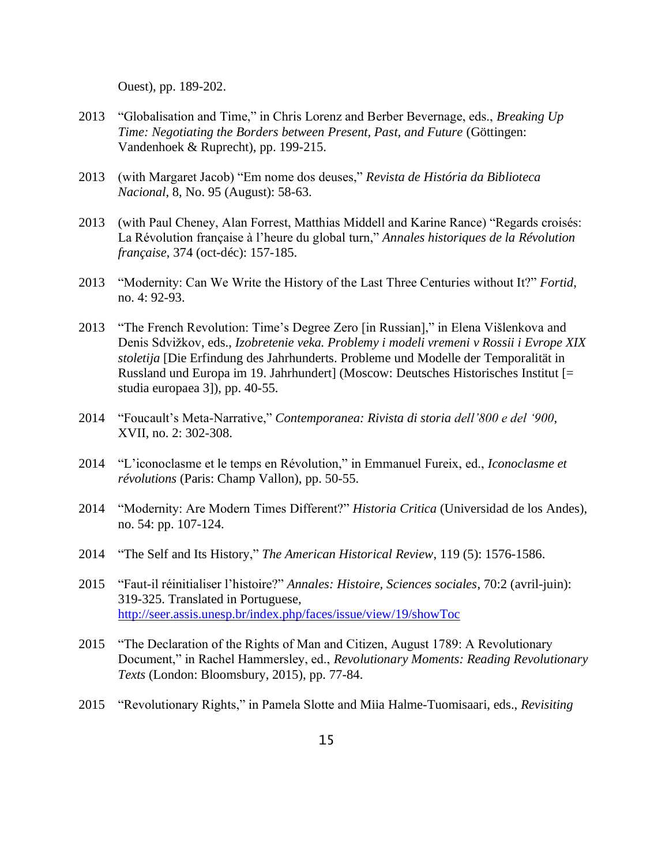Ouest), pp. 189-202.

- 2013 "Globalisation and Time," in Chris Lorenz and Berber Bevernage, eds., *Breaking Up Time: Negotiating the Borders between Present, Past, and Future* (Göttingen: Vandenhoek & Ruprecht), pp. 199-215.
- 2013 (with Margaret Jacob) "Em nome dos deuses," *Revista de História da Biblioteca Nacional*, 8, No. 95 (August): 58-63.
- 2013 (with Paul Cheney, Alan Forrest, Matthias Middell and Karine Rance) "Regards croisés: La Révolution française à l'heure du global turn," *Annales historiques de la Révolution française*, 374 (oct-déc): 157-185.
- 2013 "Modernity: Can We Write the History of the Last Three Centuries without It?" *Fortid*, no. 4: 92-93.
- 2013 "The French Revolution: Time's Degree Zero [in Russian]," in Elena Višlenkova and Denis Sdvižkov, eds., *Izobretenie veka. Problemy i modeli vremeni v Rossii i Evrope XIX stoletija* [Die Erfindung des Jahrhunderts. Probleme und Modelle der Temporalität in Russland und Europa im 19. Jahrhundert] (Moscow: Deutsches Historisches Institut [= studia europaea 3]), pp. 40-55.
- 2014 "Foucault's Meta-Narrative," *Contemporanea: Rivista di storia dell'800 e del '900*, XVII, no. 2: 302-308.
- 2014 "L'iconoclasme et le temps en Révolution," in Emmanuel Fureix, ed., *Iconoclasme et révolutions* (Paris: Champ Vallon), pp. 50-55.
- 2014 "Modernity: Are Modern Times Different?" *Historia Critica* (Universidad de los Andes), no. 54: pp. 107-124.
- 2014 "The Self and Its History," *The American Historical Review*, 119 (5): 1576-1586.
- 2015 "Faut-il réinitialiser l'histoire?" *Annales: Histoire, Sciences sociales*, 70:2 (avril-juin): 319-325. Translated in Portuguese, <http://seer.assis.unesp.br/index.php/faces/issue/view/19/showToc>
- 2015 "The Declaration of the Rights of Man and Citizen, August 1789: A Revolutionary Document," in Rachel Hammersley, ed., *Revolutionary Moments: Reading Revolutionary Texts* (London: Bloomsbury, 2015), pp. 77-84.
- 2015 "Revolutionary Rights," in Pamela Slotte and Miia Halme-Tuomisaari, eds., *Revisiting*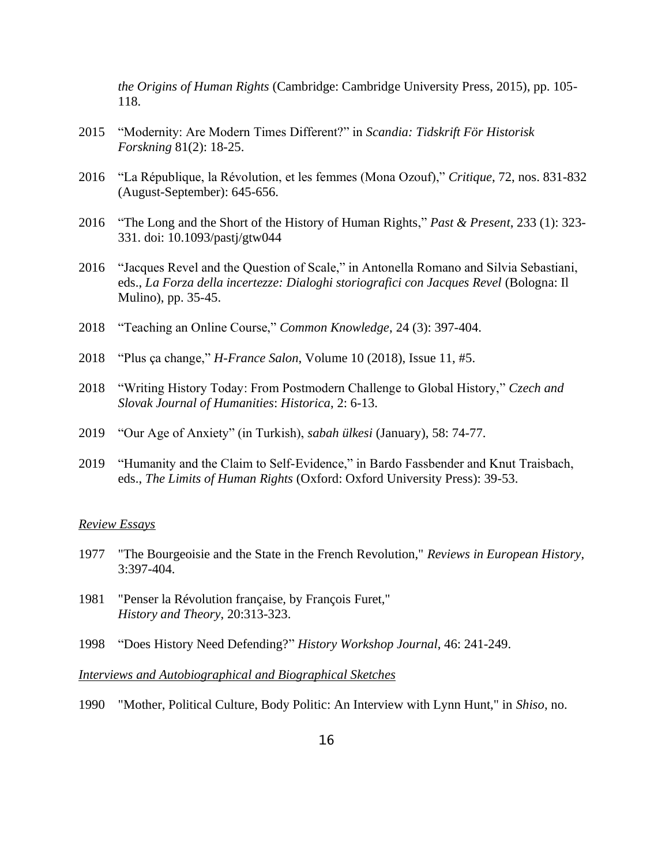*the Origins of Human Rights* (Cambridge: Cambridge University Press, 2015), pp. 105- 118.

- 2015 "Modernity: Are Modern Times Different?" in *Scandia: Tidskrift För Historisk Forskning* 81(2): 18-25.
- 2016 "La République, la Révolution, et les femmes (Mona Ozouf)," *Critique*, 72, nos. 831-832 (August-September): 645-656.
- 2016 "The Long and the Short of the History of Human Rights," *Past & Present*, 233 (1): 323- 331. doi: 10.1093/pastj/gtw044
- 2016 "Jacques Revel and the Question of Scale," in Antonella Romano and Silvia Sebastiani, eds., *La Forza della incertezze: Dialoghi storiografici con Jacques Revel* (Bologna: Il Mulino), pp. 35-45.
- 2018 "Teaching an Online Course," *Common Knowledge*, 24 (3): 397-404.
- 2018 "Plus ça change," *H-France Salon*, Volume 10 (2018), Issue 11, #5.
- 2018 "Writing History Today: From Postmodern Challenge to Global History," *Czech and Slovak Journal of Humanities*: *Historica*, 2: 6-13.
- 2019 "Our Age of Anxiety" (in Turkish), *sabah ülkesi* (January), 58: 74-77.
- 2019 "Humanity and the Claim to Self-Evidence," in Bardo Fassbender and Knut Traisbach, eds., *The Limits of Human Rights* (Oxford: Oxford University Press): 39-53.

#### *Review Essays*

- 1977 "The Bourgeoisie and the State in the French Revolution," *Reviews in European History*, 3:397-404.
- 1981 "Penser la Révolution française, by François Furet," *History and Theory*, 20:313-323.
- 1998 "Does History Need Defending?" *History Workshop Journal*, 46: 241-249.

#### *Interviews and Autobiographical and Biographical Sketches*

1990 "Mother, Political Culture, Body Politic: An Interview with Lynn Hunt," in *Shiso*, no.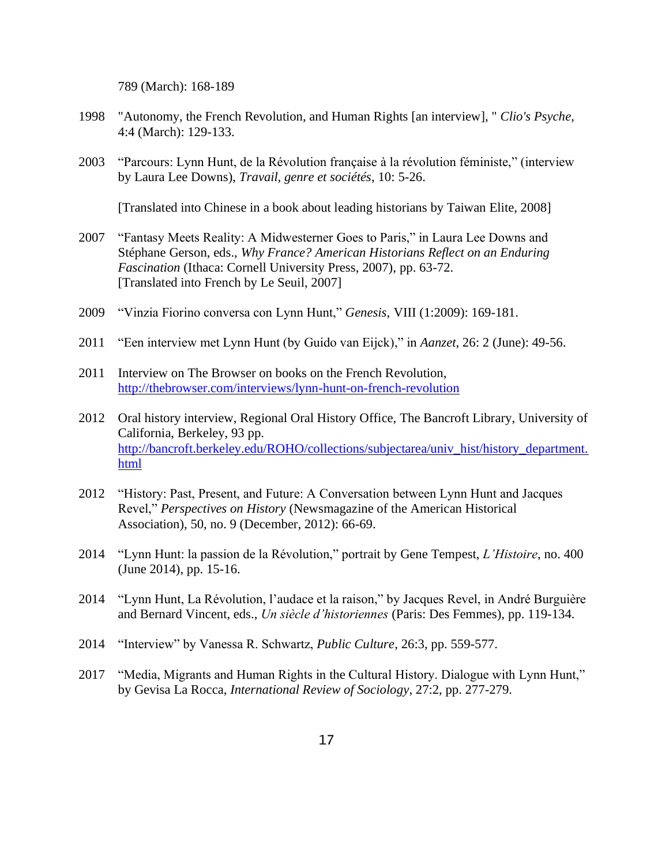789 (March): 168-189

- 1998 "Autonomy, the French Revolution, and Human Rights [an interview], " *Clio's Psyche*, 4:4 (March): 129-133.
- 2003 "Parcours: Lynn Hunt, de la Révolution française à la révolution féministe," (interview by Laura Lee Downs), *Travail, genre et sociétés*, 10: 5-26.

[Translated into Chinese in a book about leading historians by Taiwan Elite, 2008]

- 2007 "Fantasy Meets Reality: A Midwesterner Goes to Paris," in Laura Lee Downs and Stéphane Gerson, eds., *Why France? American Historians Reflect on an Enduring Fascination* (Ithaca: Cornell University Press, 2007), pp. 63-72. [Translated into French by Le Seuil, 2007]
- 2009 "Vinzia Fiorino conversa con Lynn Hunt," *Genesis*, VIII (1:2009): 169-181.
- 2011 "Een interview met Lynn Hunt (by Guido van Eijck)," in *Aanzet*, 26: 2 (June): 49-56.
- 2011 Interview on The Browser on books on the French Revolution, <http://thebrowser.com/interviews/lynn-hunt-on-french-revolution>
- 2012 Oral history interview, Regional Oral History Office, The Bancroft Library, University of California, Berkeley, 93 pp. [http://bancroft.berkeley.edu/ROHO/collections/subjectarea/univ\\_hist/history\\_department.](http://bancroft.berkeley.edu/ROHO/collections/subjectarea/univ_hist/history_department.html) [html](http://bancroft.berkeley.edu/ROHO/collections/subjectarea/univ_hist/history_department.html)
- 2012 "History: Past, Present, and Future: A Conversation between Lynn Hunt and Jacques Revel," *Perspectives on History* (Newsmagazine of the American Historical Association), 50, no. 9 (December, 2012): 66-69.
- 2014 "Lynn Hunt: la passion de la Révolution," portrait by Gene Tempest, *L'Histoire*, no. 400 (June 2014), pp. 15-16.
- 2014 "Lynn Hunt, La Révolution, l'audace et la raison," by Jacques Revel, in André Burguière and Bernard Vincent, eds., *Un siècle d'historiennes* (Paris: Des Femmes), pp. 119-134.
- 2014 "Interview" by Vanessa R. Schwartz, *Public Culture*, 26:3, pp. 559-577.
- 2017 "Media, Migrants and Human Rights in the Cultural History. Dialogue with Lynn Hunt," by Gevisa La Rocca, *International Review of Sociology*, 27:2, pp. 277-279.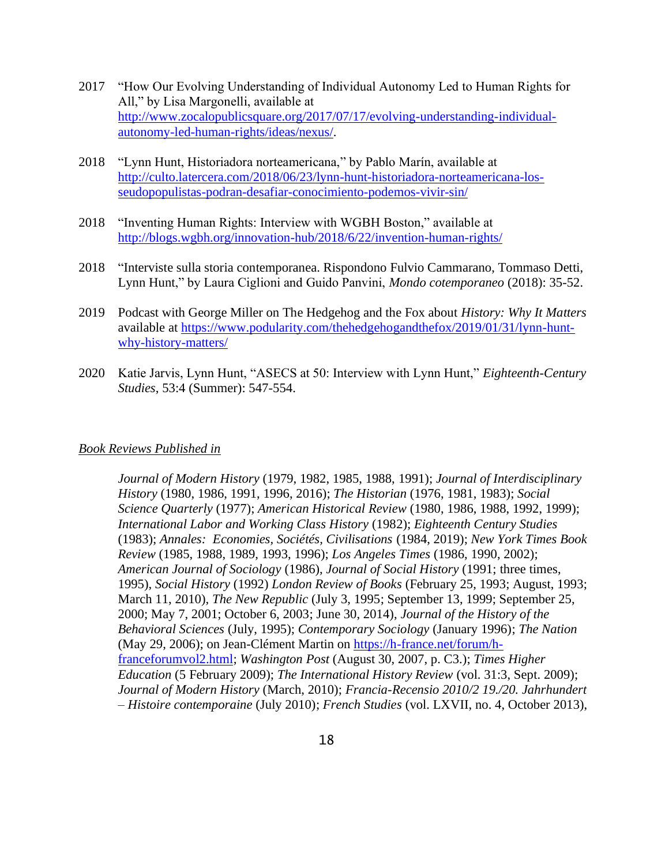- 2017 "How Our Evolving Understanding of Individual Autonomy Led to Human Rights for All," by Lisa Margonelli, available at [http://www.zocalopublicsquare.org/2017/07/17/evolving-understanding-individual](http://www.zocalopublicsquare.org/2017/07/17/evolving-understanding-individual-autonomy-led-human-rights/ideas/nexus/)[autonomy-led-human-rights/ideas/nexus/.](http://www.zocalopublicsquare.org/2017/07/17/evolving-understanding-individual-autonomy-led-human-rights/ideas/nexus/)
- 2018 "Lynn Hunt, Historiadora norteamericana," by Pablo Marín, available at [http://culto.latercera.com/2018/06/23/lynn-hunt-historiadora-norteamericana-los](http://culto.latercera.com/2018/06/23/lynn-hunt-historiadora-norteamericana-los-seudopopulistas-podran-desafiar-conocimiento-podemos-vivir-sin/)[seudopopulistas-podran-desafiar-conocimiento-podemos-vivir-sin/](http://culto.latercera.com/2018/06/23/lynn-hunt-historiadora-norteamericana-los-seudopopulistas-podran-desafiar-conocimiento-podemos-vivir-sin/)
- 2018 "Inventing Human Rights: Interview with WGBH Boston," available at <http://blogs.wgbh.org/innovation-hub/2018/6/22/invention-human-rights/>
- 2018 "Interviste sulla storia contemporanea. Rispondono Fulvio Cammarano, Tommaso Detti, Lynn Hunt," by Laura Ciglioni and Guido Panvini, *Mondo cotemporaneo* (2018): 35-52.
- 2019 Podcast with George Miller on The Hedgehog and the Fox about *History: Why It Matters*  available at [https://www.podularity.com/thehedgehogandthefox/2019/01/31/lynn-hunt](https://www.podularity.com/thehedgehogandthefox/2019/01/31/lynn-hunt-why-history-matters/)[why-history-matters/](https://www.podularity.com/thehedgehogandthefox/2019/01/31/lynn-hunt-why-history-matters/)
- 2020 Katie Jarvis, Lynn Hunt, "ASECS at 50: Interview with Lynn Hunt," *Eighteenth-Century Studies*, 53:4 (Summer): 547-554.

### *Book Reviews Published in*

*Journal of Modern History* (1979, 1982, 1985, 1988, 1991); *Journal of Interdisciplinary History* (1980, 1986, 1991, 1996, 2016); *The Historian* (1976, 1981, 1983); *Social Science Quarterly* (1977); *American Historical Review* (1980, 1986, 1988, 1992, 1999); *International Labor and Working Class History* (1982); *Eighteenth Century Studies* (1983); *Annales: Economies, Sociétés, Civilisations* (1984, 2019); *New York Times Book Review* (1985, 1988, 1989, 1993, 1996); *Los Angeles Times* (1986, 1990, 2002); *American Journal of Sociology* (1986), *Journal of Social History* (1991; three times, 1995), *Social History* (1992) *London Review of Books* (February 25, 1993; August, 1993; March 11, 2010), *The New Republic* (July 3, 1995; September 13, 1999; September 25, 2000; May 7, 2001; October 6, 2003; June 30, 2014), *Journal of the History of the Behavioral Sciences* (July, 1995); *Contemporary Sociology* (January 1996); *The Nation* (May 29, 2006); on Jean-Clément Martin on [https://h-france.net/forum/h](https://h-france.net/forum/h-franceforumvol2.html)[franceforumvol2.html;](https://h-france.net/forum/h-franceforumvol2.html) *Washington Post* (August 30, 2007, p. C3.); *Times Higher Education* (5 February 2009); *The International History Review* (vol. 31:3, Sept. 2009); *Journal of Modern History* (March, 2010); *Francia-Recensio 2010/2 19./20. Jahrhundert – Histoire contemporaine* (July 2010); *French Studies* (vol. LXVII, no. 4, October 2013),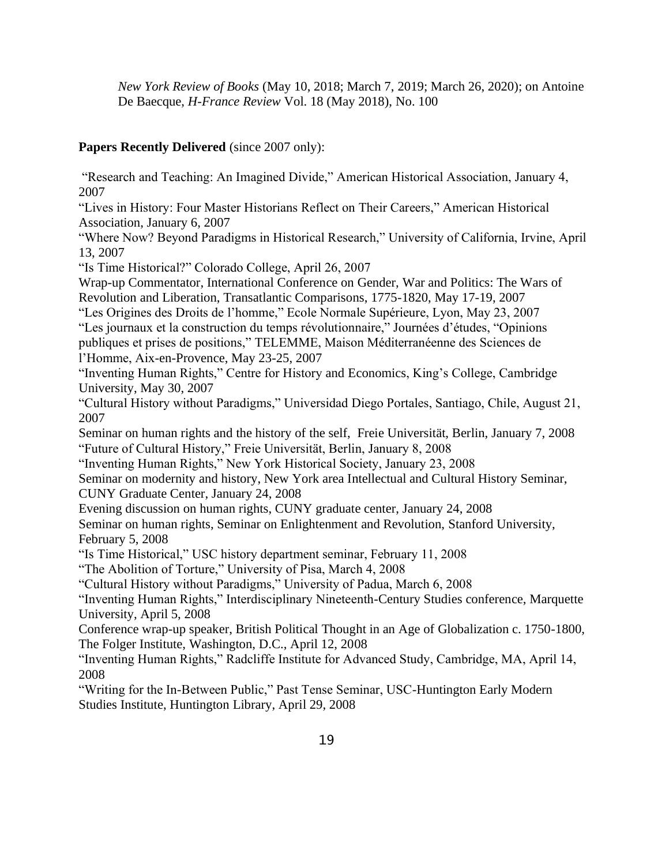*New York Review of Books* (May 10, 2018; March 7, 2019; March 26, 2020); on Antoine De Baecque, *H-France Review* Vol. 18 (May 2018), No. 100

# **Papers Recently Delivered** (since 2007 only):

"Research and Teaching: An Imagined Divide," American Historical Association, January 4, 2007

"Lives in History: Four Master Historians Reflect on Their Careers," American Historical Association, January 6, 2007

"Where Now? Beyond Paradigms in Historical Research," University of California, Irvine, April 13, 2007

"Is Time Historical?" Colorado College, April 26, 2007

Wrap-up Commentator, International Conference on Gender, War and Politics: The Wars of Revolution and Liberation, Transatlantic Comparisons, 1775-1820, May 17-19, 2007

"Les Origines des Droits de l'homme," Ecole Normale Supérieure, Lyon, May 23, 2007 "Les journaux et la construction du temps révolutionnaire," Journées d'études, "Opinions

publiques et prises de positions," TELEMME, Maison Méditerranéenne des Sciences de l'Homme, Aix-en-Provence, May 23-25, 2007

"Inventing Human Rights," Centre for History and Economics, King's College, Cambridge University, May 30, 2007

"Cultural History without Paradigms," Universidad Diego Portales, Santiago, Chile, August 21, 2007

Seminar on human rights and the history of the self, Freie Universität, Berlin, January 7, 2008 "Future of Cultural History," Freie Universität, Berlin, January 8, 2008

"Inventing Human Rights," New York Historical Society, January 23, 2008

Seminar on modernity and history, New York area Intellectual and Cultural History Seminar, CUNY Graduate Center, January 24, 2008

Evening discussion on human rights, CUNY graduate center, January 24, 2008

Seminar on human rights, Seminar on Enlightenment and Revolution, Stanford University, February 5, 2008

"Is Time Historical," USC history department seminar, February 11, 2008

"The Abolition of Torture," University of Pisa, March 4, 2008

"Cultural History without Paradigms," University of Padua, March 6, 2008

"Inventing Human Rights," Interdisciplinary Nineteenth-Century Studies conference, Marquette University, April 5, 2008

Conference wrap-up speaker, British Political Thought in an Age of Globalization c. 1750-1800, The Folger Institute, Washington, D.C., April 12, 2008

"Inventing Human Rights," Radcliffe Institute for Advanced Study, Cambridge, MA, April 14, 2008

"Writing for the In-Between Public," Past Tense Seminar, USC-Huntington Early Modern Studies Institute, Huntington Library, April 29, 2008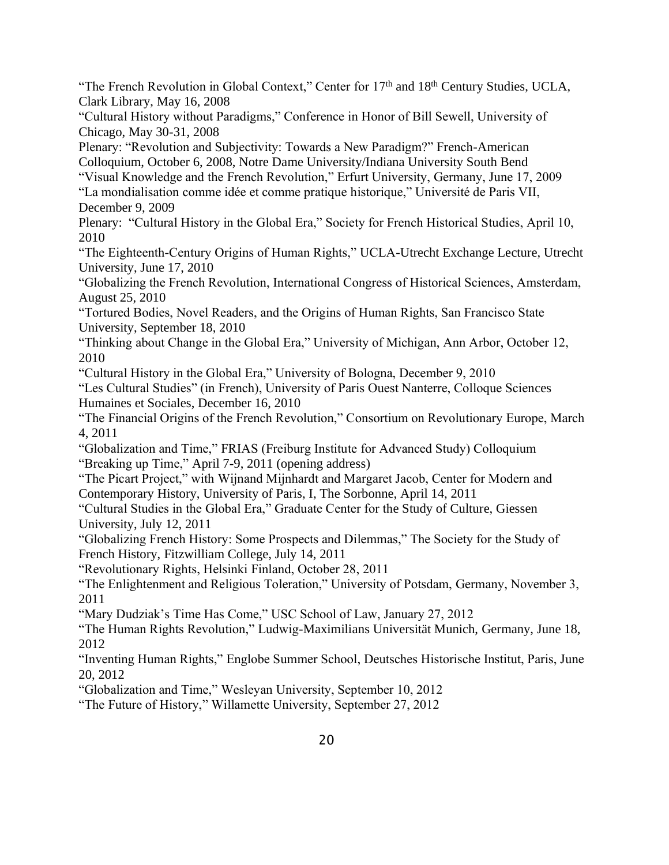"The French Revolution in Global Context," Center for  $17<sup>th</sup>$  and  $18<sup>th</sup>$  Century Studies, UCLA, Clark Library, May 16, 2008

"Cultural History without Paradigms," Conference in Honor of Bill Sewell, University of Chicago, May 30-31, 2008

Plenary: "Revolution and Subjectivity: Towards a New Paradigm?" French-American Colloquium, October 6, 2008, Notre Dame University/Indiana University South Bend

"Visual Knowledge and the French Revolution," Erfurt University, Germany, June 17, 2009 "La mondialisation comme idée et comme pratique historique," Université de Paris VII, December 9, 2009

Plenary: "Cultural History in the Global Era," Society for French Historical Studies, April 10, 2010

"The Eighteenth-Century Origins of Human Rights," UCLA-Utrecht Exchange Lecture, Utrecht University, June 17, 2010

"Globalizing the French Revolution, International Congress of Historical Sciences, Amsterdam, August 25, 2010

"Tortured Bodies, Novel Readers, and the Origins of Human Rights, San Francisco State University, September 18, 2010

"Thinking about Change in the Global Era," University of Michigan, Ann Arbor, October 12, 2010

"Cultural History in the Global Era," University of Bologna, December 9, 2010

"Les Cultural Studies" (in French), University of Paris Ouest Nanterre, Colloque Sciences Humaines et Sociales, December 16, 2010

"The Financial Origins of the French Revolution," Consortium on Revolutionary Europe, March 4, 2011

"Globalization and Time," FRIAS (Freiburg Institute for Advanced Study) Colloquium "Breaking up Time," April 7-9, 2011 (opening address)

"The Picart Project," with Wijnand Mijnhardt and Margaret Jacob, Center for Modern and Contemporary History, University of Paris, I, The Sorbonne, April 14, 2011

"Cultural Studies in the Global Era," Graduate Center for the Study of Culture, Giessen University, July 12, 2011

"Globalizing French History: Some Prospects and Dilemmas," The Society for the Study of French History, Fitzwilliam College, July 14, 2011

"Revolutionary Rights, Helsinki Finland, October 28, 2011

"The Enlightenment and Religious Toleration," University of Potsdam, Germany, November 3, 2011

"Mary Dudziak's Time Has Come," USC School of Law, January 27, 2012

"The Human Rights Revolution," Ludwig-Maximilians Universität Munich, Germany, June 18, 2012

"Inventing Human Rights," Englobe Summer School, Deutsches Historische Institut, Paris, June 20, 2012

"Globalization and Time," Wesleyan University, September 10, 2012

"The Future of History," Willamette University, September 27, 2012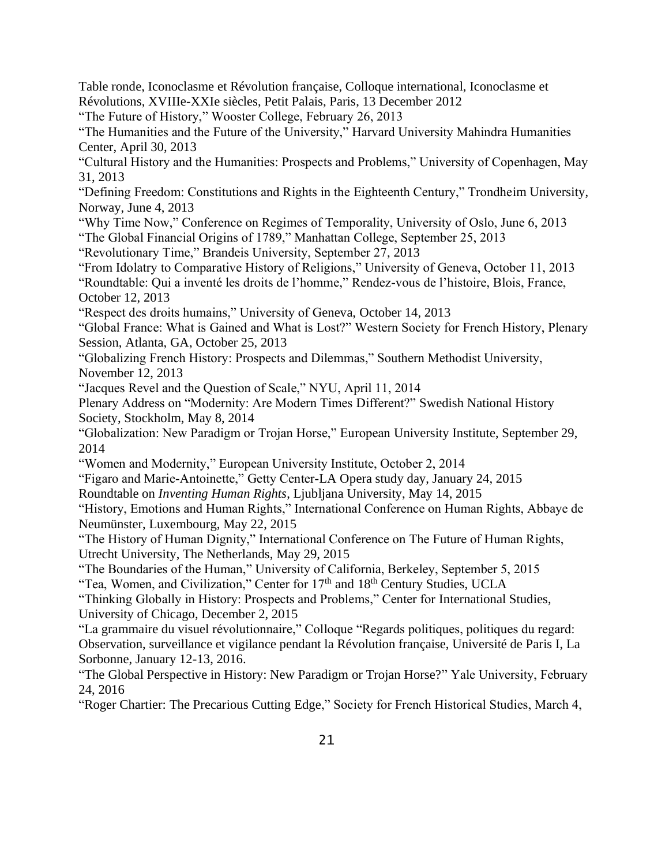Table ronde, Iconoclasme et Révolution française, Colloque international, Iconoclasme et Révolutions, XVIIIe-XXIe siècles, Petit Palais, Paris, 13 December 2012

"The Future of History," Wooster College, February 26, 2013

"The Humanities and the Future of the University," Harvard University Mahindra Humanities Center, April 30, 2013

"Cultural History and the Humanities: Prospects and Problems," University of Copenhagen, May 31, 2013

"Defining Freedom: Constitutions and Rights in the Eighteenth Century," Trondheim University, Norway, June 4, 2013

"Why Time Now," Conference on Regimes of Temporality, University of Oslo, June 6, 2013

"The Global Financial Origins of 1789," Manhattan College, September 25, 2013

"Revolutionary Time," Brandeis University, September 27, 2013

"From Idolatry to Comparative History of Religions," University of Geneva, October 11, 2013

"Roundtable: Qui a inventé les droits de l'homme," Rendez-vous de l'histoire, Blois, France, October 12, 2013

"Respect des droits humains," University of Geneva, October 14, 2013

"Global France: What is Gained and What is Lost?" Western Society for French History, Plenary Session, Atlanta, GA, October 25, 2013

"Globalizing French History: Prospects and Dilemmas," Southern Methodist University, November 12, 2013

"Jacques Revel and the Question of Scale," NYU, April 11, 2014

Plenary Address on "Modernity: Are Modern Times Different?" Swedish National History Society, Stockholm, May 8, 2014

"Globalization: New Paradigm or Trojan Horse," European University Institute, September 29, 2014

"Women and Modernity," European University Institute, October 2, 2014

"Figaro and Marie-Antoinette," Getty Center-LA Opera study day, January 24, 2015

Roundtable on *Inventing Human Rights*, Ljubljana University, May 14, 2015

"History, Emotions and Human Rights," International Conference on Human Rights, Abbaye de Neumünster, Luxembourg, May 22, 2015

"The History of Human Dignity," International Conference on The Future of Human Rights, Utrecht University, The Netherlands, May 29, 2015

"The Boundaries of the Human," University of California, Berkeley, September 5, 2015

"Tea, Women, and Civilization," Center for  $17<sup>th</sup>$  and  $18<sup>th</sup>$  Century Studies, UCLA

"Thinking Globally in History: Prospects and Problems," Center for International Studies, University of Chicago, December 2, 2015

"La grammaire du visuel révolutionnaire," Colloque "Regards politiques, politiques du regard: Observation, surveillance et vigilance pendant la Révolution française, Université de Paris I, La Sorbonne, January 12-13, 2016.

"The Global Perspective in History: New Paradigm or Trojan Horse?" Yale University, February 24, 2016

"Roger Chartier: The Precarious Cutting Edge," Society for French Historical Studies, March 4,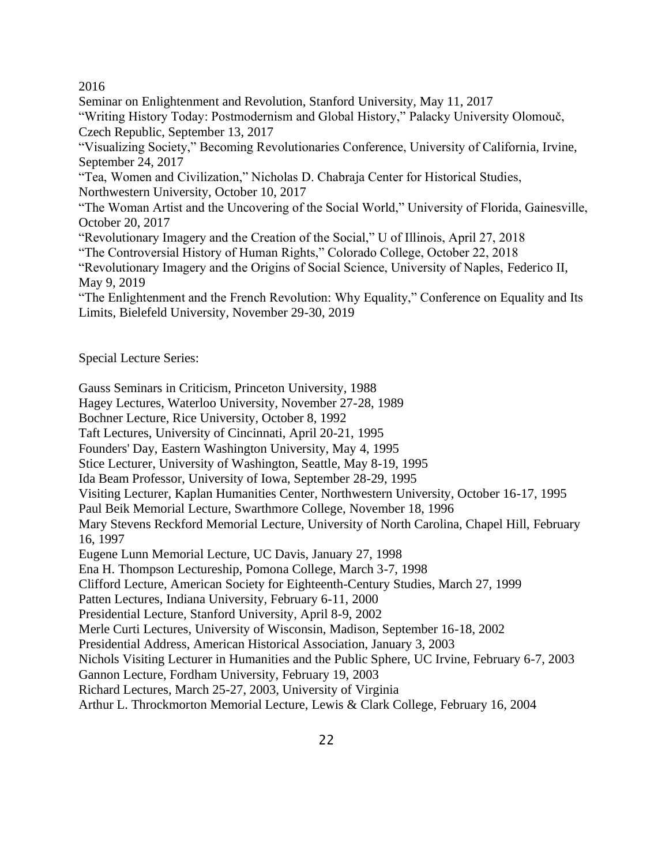2016

Seminar on Enlightenment and Revolution, Stanford University, May 11, 2017

"Writing History Today: Postmodernism and Global History," Palacky University Olomouč, Czech Republic, September 13, 2017

"Visualizing Society," Becoming Revolutionaries Conference, University of California, Irvine, September 24, 2017

"Tea, Women and Civilization," Nicholas D. Chabraja Center for Historical Studies, Northwestern University, October 10, 2017

"The Woman Artist and the Uncovering of the Social World," University of Florida, Gainesville, October 20, 2017

"Revolutionary Imagery and the Creation of the Social," U of Illinois, April 27, 2018

"The Controversial History of Human Rights," Colorado College, October 22, 2018

"Revolutionary Imagery and the Origins of Social Science, University of Naples, Federico II, May 9, 2019

"The Enlightenment and the French Revolution: Why Equality," Conference on Equality and Its Limits, Bielefeld University, November 29-30, 2019

Special Lecture Series:

Gauss Seminars in Criticism, Princeton University, 1988

Hagey Lectures, Waterloo University, November 27-28, 1989

Bochner Lecture, Rice University, October 8, 1992

Taft Lectures, University of Cincinnati, April 20-21, 1995

Founders' Day, Eastern Washington University, May 4, 1995

Stice Lecturer, University of Washington, Seattle, May 8-19, 1995

Ida Beam Professor, University of Iowa, September 28-29, 1995

Visiting Lecturer, Kaplan Humanities Center, Northwestern University, October 16-17, 1995

Paul Beik Memorial Lecture, Swarthmore College, November 18, 1996

Mary Stevens Reckford Memorial Lecture, University of North Carolina, Chapel Hill, February 16, 1997

Eugene Lunn Memorial Lecture, UC Davis, January 27, 1998

Ena H. Thompson Lectureship, Pomona College, March 3-7, 1998

Clifford Lecture, American Society for Eighteenth-Century Studies, March 27, 1999

Patten Lectures, Indiana University, February 6-11, 2000

Presidential Lecture, Stanford University, April 8-9, 2002

Merle Curti Lectures, University of Wisconsin, Madison, September 16-18, 2002

Presidential Address, American Historical Association, January 3, 2003

Nichols Visiting Lecturer in Humanities and the Public Sphere, UC Irvine, February 6-7, 2003

Gannon Lecture, Fordham University, February 19, 2003

Richard Lectures, March 25-27, 2003, University of Virginia

Arthur L. Throckmorton Memorial Lecture, Lewis & Clark College, February 16, 2004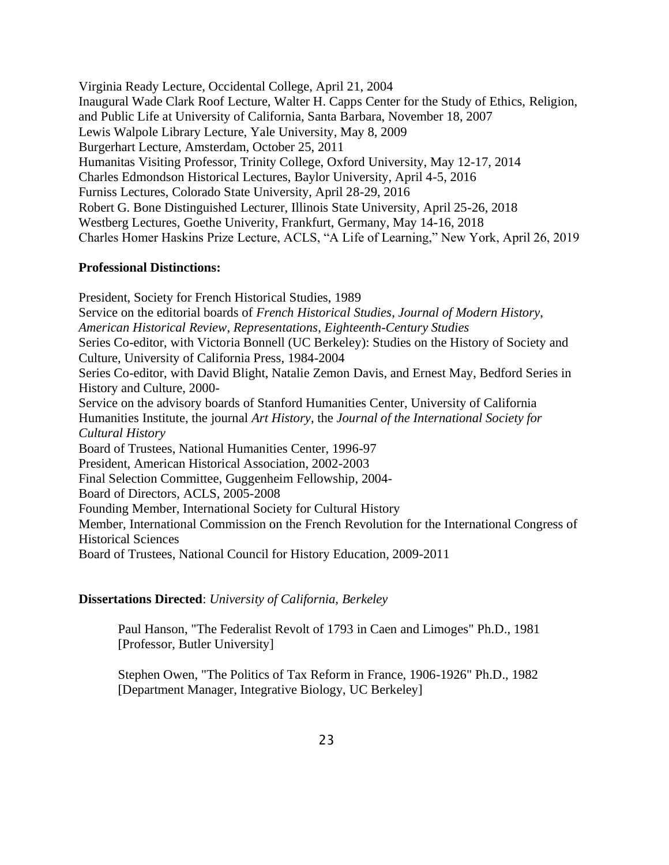Virginia Ready Lecture, Occidental College, April 21, 2004 Inaugural Wade Clark Roof Lecture, Walter H. Capps Center for the Study of Ethics, Religion, and Public Life at University of California, Santa Barbara, November 18, 2007 Lewis Walpole Library Lecture, Yale University, May 8, 2009 Burgerhart Lecture, Amsterdam, October 25, 2011 Humanitas Visiting Professor, Trinity College, Oxford University, May 12-17, 2014 Charles Edmondson Historical Lectures, Baylor University, April 4-5, 2016 Furniss Lectures, Colorado State University, April 28-29, 2016 Robert G. Bone Distinguished Lecturer, Illinois State University, April 25-26, 2018 Westberg Lectures, Goethe Univerity, Frankfurt, Germany, May 14-16, 2018 Charles Homer Haskins Prize Lecture, ACLS, "A Life of Learning," New York, April 26, 2019

### **Professional Distinctions:**

President, Society for French Historical Studies, 1989 Service on the editorial boards of *French Historical Studies*, *Journal of Modern History*, *American Historical Review*, *Representations*, *Eighteenth-Century Studies* Series Co-editor, with Victoria Bonnell (UC Berkeley): Studies on the History of Society and Culture, University of California Press, 1984-2004 Series Co-editor, with David Blight, Natalie Zemon Davis, and Ernest May, Bedford Series in History and Culture, 2000- Service on the advisory boards of Stanford Humanities Center, University of California Humanities Institute, the journal *Art History*, the *Journal of the International Society for Cultural History* Board of Trustees, National Humanities Center, 1996-97 President, American Historical Association, 2002-2003 Final Selection Committee, Guggenheim Fellowship, 2004- Board of Directors, ACLS, 2005-2008 Founding Member, International Society for Cultural History Member, International Commission on the French Revolution for the International Congress of Historical Sciences Board of Trustees, National Council for History Education, 2009-2011

### **Dissertations Directed**: *University of California, Berkeley*

Paul Hanson, "The Federalist Revolt of 1793 in Caen and Limoges" Ph.D., 1981 [Professor, Butler University]

Stephen Owen, "The Politics of Tax Reform in France, 1906-1926" Ph.D., 1982 [Department Manager, Integrative Biology, UC Berkeley]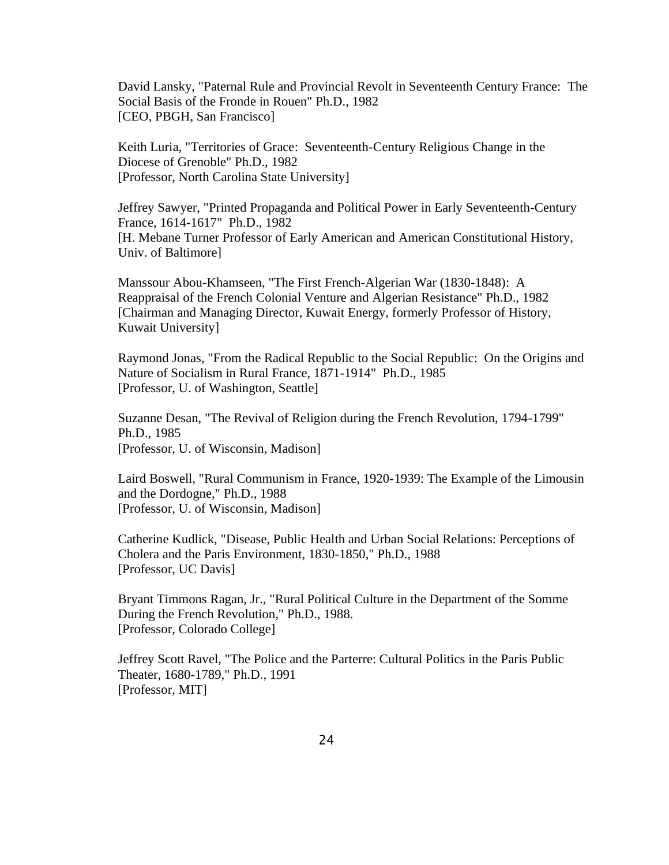David Lansky, "Paternal Rule and Provincial Revolt in Seventeenth Century France: The Social Basis of the Fronde in Rouen" Ph.D., 1982 [CEO, PBGH, San Francisco]

Keith Luria, "Territories of Grace: Seventeenth-Century Religious Change in the Diocese of Grenoble" Ph.D., 1982 [Professor, North Carolina State University]

Jeffrey Sawyer, "Printed Propaganda and Political Power in Early Seventeenth-Century France, 1614-1617" Ph.D., 1982 [H. Mebane Turner Professor of Early American and American Constitutional History, Univ. of Baltimore]

Manssour Abou-Khamseen, "The First French-Algerian War (1830-1848): A Reappraisal of the French Colonial Venture and Algerian Resistance" Ph.D., 1982 [Chairman and Managing Director, Kuwait Energy, formerly Professor of History, Kuwait University]

Raymond Jonas, "From the Radical Republic to the Social Republic: On the Origins and Nature of Socialism in Rural France, 1871-1914" Ph.D., 1985 [Professor, U. of Washington, Seattle]

Suzanne Desan, "The Revival of Religion during the French Revolution, 1794-1799" Ph.D., 1985 [Professor, U. of Wisconsin, Madison]

Laird Boswell, "Rural Communism in France, 1920-1939: The Example of the Limousin and the Dordogne," Ph.D., 1988 [Professor, U. of Wisconsin, Madison]

Catherine Kudlick, "Disease, Public Health and Urban Social Relations: Perceptions of Cholera and the Paris Environment, 1830-1850," Ph.D., 1988 [Professor, UC Davis]

Bryant Timmons Ragan, Jr., "Rural Political Culture in the Department of the Somme During the French Revolution," Ph.D., 1988. [Professor, Colorado College]

Jeffrey Scott Ravel, "The Police and the Parterre: Cultural Politics in the Paris Public Theater, 1680-1789," Ph.D., 1991 [Professor, MIT]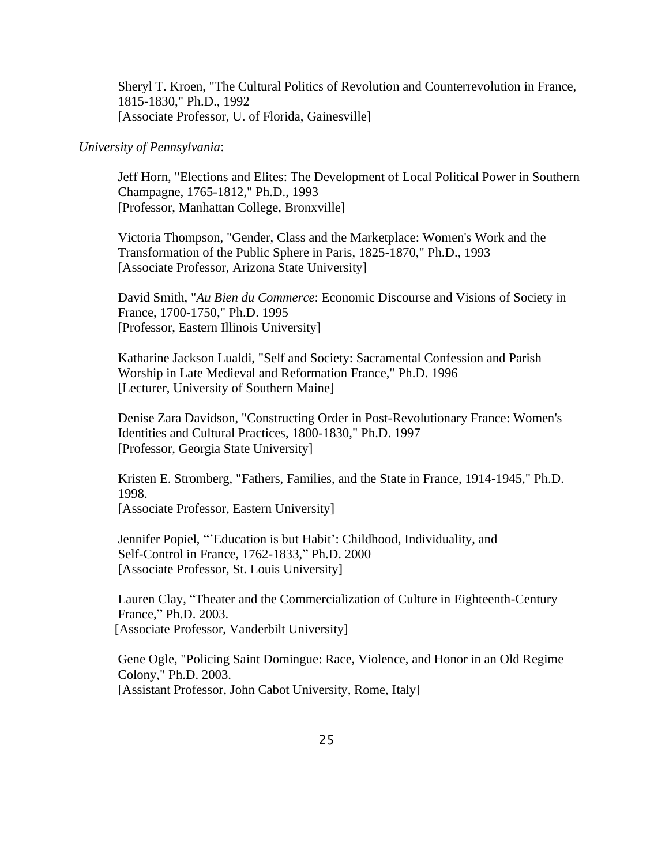Sheryl T. Kroen, "The Cultural Politics of Revolution and Counterrevolution in France, 1815-1830," Ph.D., 1992 [Associate Professor, U. of Florida, Gainesville]

#### *University of Pennsylvania*:

Jeff Horn, "Elections and Elites: The Development of Local Political Power in Southern Champagne, 1765-1812," Ph.D., 1993 [Professor, Manhattan College, Bronxville]

Victoria Thompson, "Gender, Class and the Marketplace: Women's Work and the Transformation of the Public Sphere in Paris, 1825-1870," Ph.D., 1993 [Associate Professor, Arizona State University]

David Smith, "*Au Bien du Commerce*: Economic Discourse and Visions of Society in France, 1700-1750," Ph.D. 1995 [Professor, Eastern Illinois University]

Katharine Jackson Lualdi, "Self and Society: Sacramental Confession and Parish Worship in Late Medieval and Reformation France," Ph.D. 1996 [Lecturer, University of Southern Maine]

Denise Zara Davidson, "Constructing Order in Post-Revolutionary France: Women's Identities and Cultural Practices, 1800-1830," Ph.D. 1997 [Professor, Georgia State University]

Kristen E. Stromberg, "Fathers, Families, and the State in France, 1914-1945," Ph.D. 1998.

[Associate Professor, Eastern University]

Jennifer Popiel, "'Education is but Habit': Childhood, Individuality, and Self-Control in France, 1762-1833," Ph.D. 2000 [Associate Professor, St. Louis University]

Lauren Clay, "Theater and the Commercialization of Culture in Eighteenth-Century France," Ph.D. 2003. [Associate Professor, Vanderbilt University]

Gene Ogle, "Policing Saint Domingue: Race, Violence, and Honor in an Old Regime Colony," Ph.D. 2003. [Assistant Professor, John Cabot University, Rome, Italy]